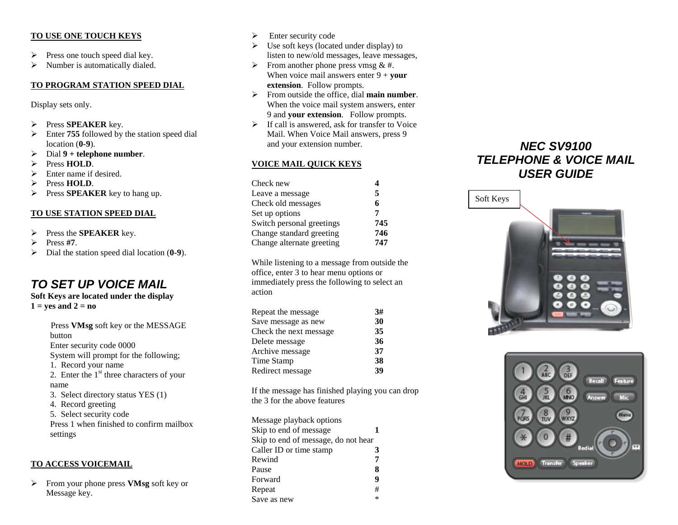#### **TO USE ONE TOUCH KEYS**

- $\triangleright$  Press one touch speed dial key.
- $\triangleright$  Number is automatically dialed.

## **TO PROGRAM STATION SPEED DIAL**

Display sets only.

- Press **SPEAKER** key.
- Enter **755** followed by the station speed dial location (**0-9**).
- Dial **9 + telephone number**.
- Press **HOLD**.
- $\triangleright$  Enter name if desired.
- Press **HOLD**.
- **Press SPEAKER** key to hang up.

#### **TO USE STATION SPEED DIAL**

- Press the **SPEAKER** key.
- $\triangleright$  Press #7.
- Dial the station speed dial location (**0-9**).

## *TO SET UP VOICE MAIL*

#### **Soft Keys are located under the display**  $1 = yes$  and  $2 = no$

Press **VMsg** soft key or the MESSAGE button Enter security code 0000 System will prompt for the following; 1. Record your name 2. Enter the  $1<sup>st</sup>$  three characters of your name 3. Select directory status YES (1) 4. Record greeting 5. Select security code Press 1 when finished to confirm mailbox settings

#### **TO ACCESS VOICEMAIL**

 From your phone press **VMsg** soft key or Message key.

- $\triangleright$  Enter security code
- $\triangleright$  Use soft keys (located under display) to listen to new/old messages, leave messages,
- $\triangleright$  From another phone press vmsg & #. When voice mail answers enter  $9 + \text{your}$ **extension**. Follow prompts.
- From outside the office, dial **main number**. When the voice mail system answers, enter 9 and **your extension**. Follow prompts.
- $\triangleright$  If call is answered, ask for transfer to Voice Mail. When Voice Mail answers, press 9 and your extension number.

#### **VOICE MAIL QUICK KEYS**

| Check new                 | 4   |
|---------------------------|-----|
| Leave a message           | 5   |
| Check old messages        | 6   |
| Set up options            | 7   |
| Switch personal greetings | 745 |
| Change standard greeting  | 746 |
| Change alternate greeting | 747 |

While listening to a message from outside the office, enter 3 to hear menu options or immediately press the following to select an action

| Repeat the message     | 3# |
|------------------------|----|
| Save message as new    | 30 |
| Check the next message | 35 |
| Delete message         | 36 |
| Archive message        | 37 |
| Time Stamp             | 38 |
| Redirect message       | 39 |

If the message has finished playing you can drop the 3 for the above features

| Message playback options            |        |
|-------------------------------------|--------|
| Skip to end of message              |        |
| Skip to end of message, do not hear |        |
| Caller ID or time stamp             | 3      |
| Rewind                              | 7      |
| Pause                               | 8      |
| Forward                             | 9      |
| Repeat                              | #      |
| Save as new                         | $\ast$ |

# *NEC SV9100 TELEPHONE & VOICE MAIL USER GUIDE*